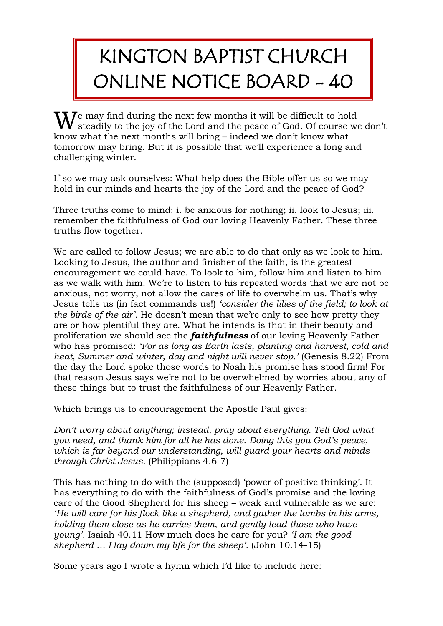## KINGTON BAPTIST CHURCH ONLINE NOTICE BOARD - 40

 $\mathbf{W}^\text{e}$  may find during the next few months it will be difficult to hold steadily to the joy of the Lord and the peace of God. Of course w **V** steadily to the joy of the Lord and the peace of God. Of course we don't know what the next months will bring – indeed we don't know what tomorrow may bring. But it is possible that we'll experience a long and challenging winter.

If so we may ask ourselves: What help does the Bible offer us so we may hold in our minds and hearts the joy of the Lord and the peace of God?

Three truths come to mind: i. be anxious for nothing; ii. look to Jesus; iii. remember the faithfulness of God our loving Heavenly Father. These three truths flow together.

We are called to follow Jesus; we are able to do that only as we look to him. Looking to Jesus, the author and finisher of the faith, is the greatest encouragement we could have. To look to him, follow him and listen to him as we walk with him. We're to listen to his repeated words that we are not be anxious, not worry, not allow the cares of life to overwhelm us. That's why Jesus tells us (in fact commands us!) *'consider the lilies of the field; to look at the birds of the air'.* He doesn't mean that we're only to see how pretty they are or how plentiful they are. What he intends is that in their beauty and proliferation we should see the *faithfulness* of our loving Heavenly Father who has promised: *'For as long as Earth lasts, planting and harvest, cold and heat, Summer and winter, day and night will never stop.'* (Genesis 8.22) From the day the Lord spoke those words to Noah his promise has stood firm! For that reason Jesus says we're not to be overwhelmed by worries about any of these things but to trust the faithfulness of our Heavenly Father.

Which brings us to encouragement the Apostle Paul gives:

*Don't worry about anything; instead, pray about everything. Tell God what you need, and thank him for all he has done. Doing this you God's peace, which is far beyond our understanding, will guard your hearts and minds through Christ Jesus.* (Philippians 4.6-7)

This has nothing to do with the (supposed) 'power of positive thinking'. It has everything to do with the faithfulness of God's promise and the loving care of the Good Shepherd for his sheep – weak and vulnerable as we are: *'He will care for his flock like a shepherd, and gather the lambs in his arms, holding them close as he carries them, and gently lead those who have young'.* Isaiah 40.11 How much does he care for you? *'I am the good shepherd … I lay down my life for the sheep'.* (John 10.14-15)

Some years ago I wrote a hymn which I'd like to include here: